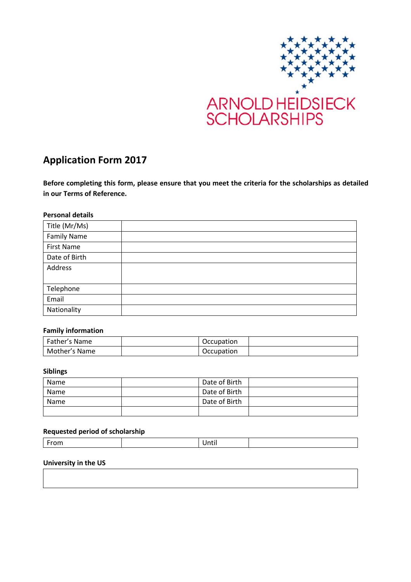

# **Application Form 2017**

**Before completing this form, please ensure that you meet the criteria for the scholarships as detailed in our Terms of Reference.**

## **Personal details**

| Title (Mr/Ms)      |  |
|--------------------|--|
| <b>Family Name</b> |  |
| <b>First Name</b>  |  |
| Date of Birth      |  |
| Address            |  |
|                    |  |
| Telephone          |  |
| Email              |  |
| Nationality        |  |

## **Family information**

| Father's Name | Occupation |  |
|---------------|------------|--|
| Mother's Name | Occupation |  |

#### **Siblings**

| Name | Date of Birth |  |
|------|---------------|--|
| Name | Date of Birth |  |
| Name | Date of Birth |  |
|      |               |  |

# **Requested period of scholarship**

|--|

## **University in the US**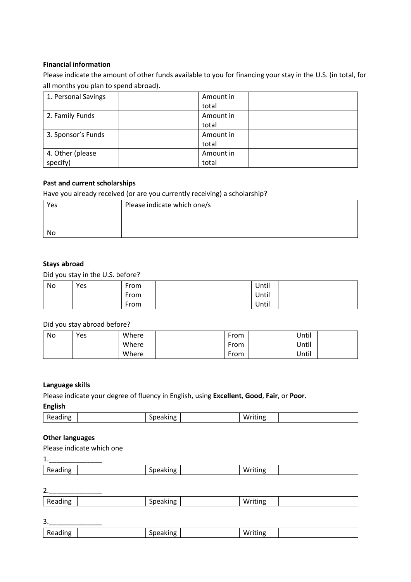## **Financial information**

Please indicate the amount of other funds available to you for financing your stay in the U.S. (in total, for all months you plan to spend abroad).

| 1. Personal Savings | Amount in |
|---------------------|-----------|
|                     | total     |
| 2. Family Funds     | Amount in |
|                     | total     |
| 3. Sponsor's Funds  | Amount in |
|                     | total     |
| 4. Other (please    | Amount in |
| specify)            | total     |

## **Past and current scholarships**

Have you already received (or are you currently receiving) a scholarship?

| Yes | Please indicate which one/s |
|-----|-----------------------------|
|     |                             |
|     |                             |
| No  |                             |

## **Stays abroad**

Did you stay in the U.S. before?

| No | Yes | From      | Until |  |
|----|-----|-----------|-------|--|
|    |     | From      | Until |  |
|    |     | -<br>From | Until |  |

#### Did you stay abroad before?

| No | Yes | Where | From | Until |
|----|-----|-------|------|-------|
|    |     | Where | From | Until |
|    |     | Where | From | Until |

#### **Language skills**

Please indicate your degree of fluency in English, using **Excellent**, **Good**, **Fair**, or **Poor**.

## **English**

| π⊬ |  | $\cdots$<br>.<br>w |  |
|----|--|--------------------|--|

#### **Other languages**

Please indicate which one

1.\_\_\_\_\_\_\_\_\_\_\_\_\_\_

|  | eanno<br>ĸr | יי י | $\cdots$<br>w |  |
|--|-------------|------|---------------|--|
|--|-------------|------|---------------|--|

2.\_\_\_\_\_\_\_\_\_\_\_\_\_\_

| n r |  | '' |  |
|-----|--|----|--|
|     |  |    |  |

| 3.            |          |         |
|---------------|----------|---------|
| n.<br>Reading | Speaking | Writing |